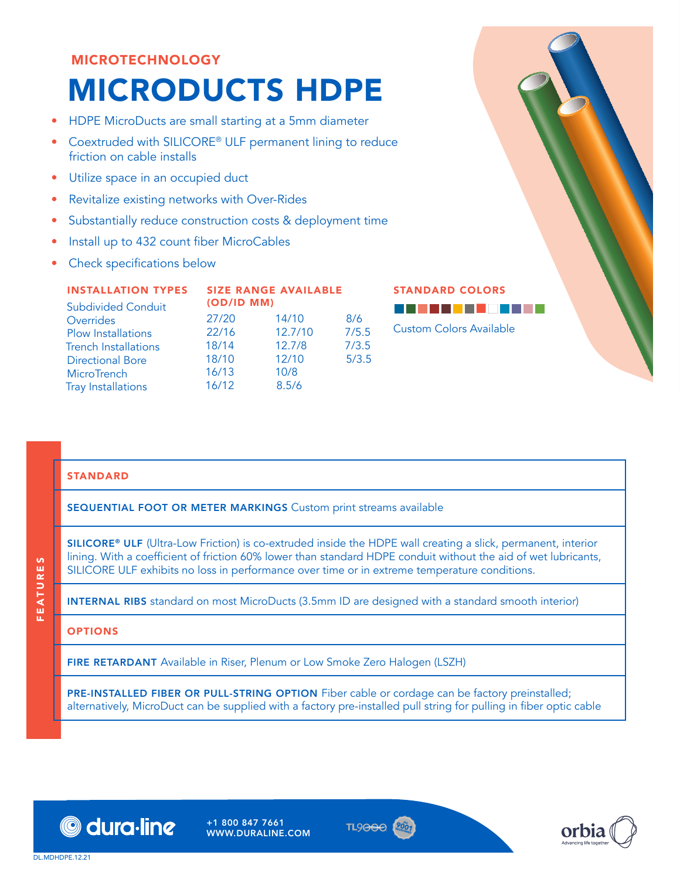# MICROTECHNOLOGY MICRODUCTS HDPE

- HDPE MicroDucts are small starting at a 5mm diameter
- Coextruded with SILICORE® ULF permanent lining to reduce friction on cable installs
- Utilize space in an occupied duct
- Revitalize existing networks with Over-Rides
- Substantially reduce construction costs & deployment time
- Install up to 432 count fiber MicroCables
- Check specifications below

| <b>INSTALLATION TYPES</b><br><b>Subdivided Conduit</b> | <b>SIZE RANGE AVAILABLE</b><br>(OD/ID MM) |         |       |  |
|--------------------------------------------------------|-------------------------------------------|---------|-------|--|
| Overrides                                              | 27/20                                     | 14/10   | 8/6   |  |
| <b>Plow Installations</b>                              | 22/16                                     | 12.7/10 | 7/5.5 |  |
| <b>Trench Installations</b>                            | 18/14                                     | 12.7/8  | 7/3.5 |  |
| <b>Directional Bore</b>                                | 18/10                                     | 12/10   | 5/3.5 |  |
| MicroTrench                                            | 16/13                                     | 10/8    |       |  |
| <b>Tray Installations</b>                              | 16/12                                     | 8.5/6   |       |  |

STANDARD COLORS



### STANDARD

SEQUENTIAL FOOT OR METER MARKINGS Custom print streams available

SILICORE® ULF (Ultra-Low Friction) is co-extruded inside the HDPE wall creating a slick, permanent, interior lining. With a coefficient of friction 60% lower than standard HDPE conduit without the aid of wet lubricants, SILICORE ULF exhibits no loss in performance over time or in extreme temperature conditions.

INTERNAL RIBS standard on most MicroDucts (3.5mm ID are designed with a standard smooth interior)

### **OPTIONS**

FIRE RETARDANT Available in Riser, Plenum or Low Smoke Zero Halogen (LSZH)

PRE-INSTALLED FIBER OR PULL-STRING OPTION Fiber cable or cordage can be factory preinstalled; alternatively, MicroDuct can be supplied with a factory pre-installed pull string for pulling in fiber optic cable



+1 800 847 7661 WWW.DURALINE.COM



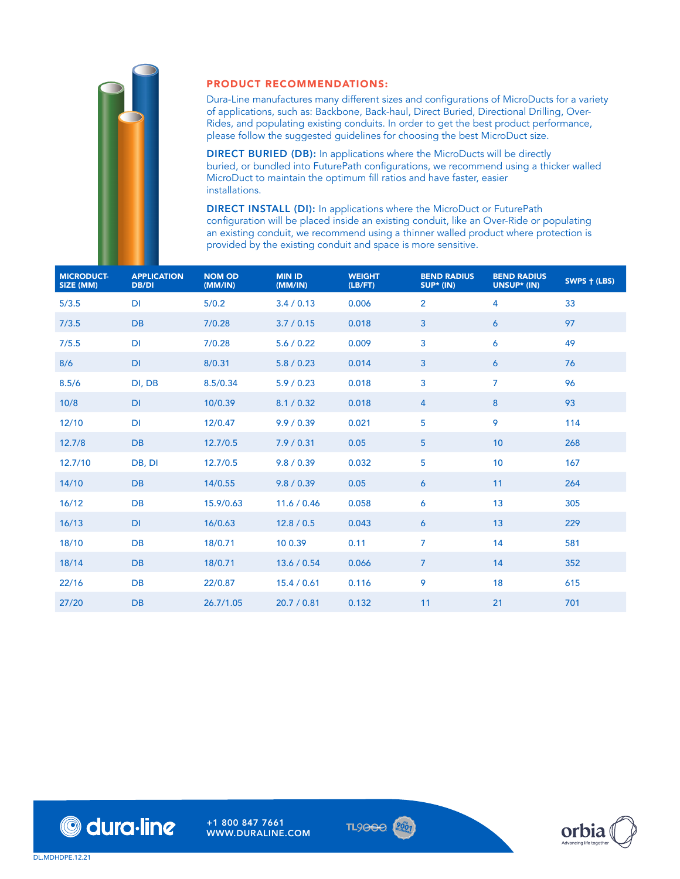

### PRODUCT RECOMMENDATIONS:

Dura-Line manufactures many different sizes and configurations of MicroDucts for a variety of applications, such as: Backbone, Back-haul, Direct Buried, Directional Drilling, Over-Rides, and populating existing conduits. In order to get the best product performance, please follow the suggested guidelines for choosing the best MicroDuct size.

DIRECT BURIED (DB): In applications where the MicroDucts will be directly buried, or bundled into FuturePath configurations, we recommend using a thicker walled MicroDuct to maintain the optimum fill ratios and have faster, easier installations.

DIRECT INSTALL (DI): In applications where the MicroDuct or FuturePath configuration will be placed inside an existing conduit, like an Over-Ride or populating an existing conduit, we recommend using a thinner walled product where protection is provided by the existing conduit and space is more sensitive.

| <b>MICRODUCT-</b><br>SIZE (MM) | <b>APPLICATION</b><br><b>DB/DI</b> | <b>NOM OD</b><br>(MM/IN) | <b>MIN ID</b><br>(MM/IN) | <b>WEIGHT</b><br>(LB/FT) | <b>BEND RADIUS</b><br>SUP* (IN) | <b>BEND RADIUS</b><br>UNSUP* (IN) | SWPS + (LBS) |
|--------------------------------|------------------------------------|--------------------------|--------------------------|--------------------------|---------------------------------|-----------------------------------|--------------|
| 5/3.5                          | DI                                 | 5/0.2                    | 3.4/0.13                 | 0.006                    | $\overline{2}$                  | 4                                 | 33           |
| 7/3.5                          | <b>DB</b>                          | 7/0.28                   | 3.7 / 0.15               | 0.018                    | $\mathbf{3}$                    | 6                                 | 97           |
| 7/5.5                          | DI                                 | 7/0.28                   | 5.6 / 0.22               | 0.009                    | 3                               | 6                                 | 49           |
| 8/6                            | DI                                 | 8/0.31                   | 5.8 / 0.23               | 0.014                    | $\mathbf{3}$                    | 6                                 | 76           |
| 8.5/6                          | DI, DB                             | 8.5/0.34                 | 5.9/0.23                 | 0.018                    | 3                               | $\overline{7}$                    | 96           |
| 10/8                           | DI                                 | 10/0.39                  | 8.1 / 0.32               | 0.018                    | 4                               | 8                                 | 93           |
| 12/10                          | DI                                 | 12/0.47                  | 9.9/0.39                 | 0.021                    | 5                               | 9                                 | 114          |
| 12.7/8                         | <b>DB</b>                          | 12.7/0.5                 | 7.9/0.31                 | 0.05                     | $\overline{5}$                  | 10                                | 268          |
| 12.7/10                        | DB, DI                             | 12.7/0.5                 | 9.8 / 0.39               | 0.032                    | 5                               | 10                                | 167          |
| 14/10                          | <b>DB</b>                          | 14/0.55                  | 9.8 / 0.39               | 0.05                     | 6                               | 11                                | 264          |
| 16/12                          | DB                                 | 15.9/0.63                | 11.6 / 0.46              | 0.058                    | 6                               | 13                                | 305          |
| 16/13                          | DI                                 | 16/0.63                  | 12.8 / 0.5               | 0.043                    | 6                               | 13                                | 229          |
| 18/10                          | DB                                 | 18/0.71                  | 10 0.39                  | 0.11                     | 7                               | 14                                | 581          |
| 18/14                          | <b>DB</b>                          | 18/0.71                  | 13.6 / 0.54              | 0.066                    | $\overline{7}$                  | 14                                | 352          |
| 22/16                          | DB                                 | 22/0.87                  | 15.4 / 0.61              | 0.116                    | 9                               | 18                                | 615          |
| 27/20                          | <b>DB</b>                          | 26.7/1.05                | 20.7 / 0.81              | 0.132                    | 11                              | 21                                | 701          |



+1 800 847 7661 WWW.DURALINE.COM